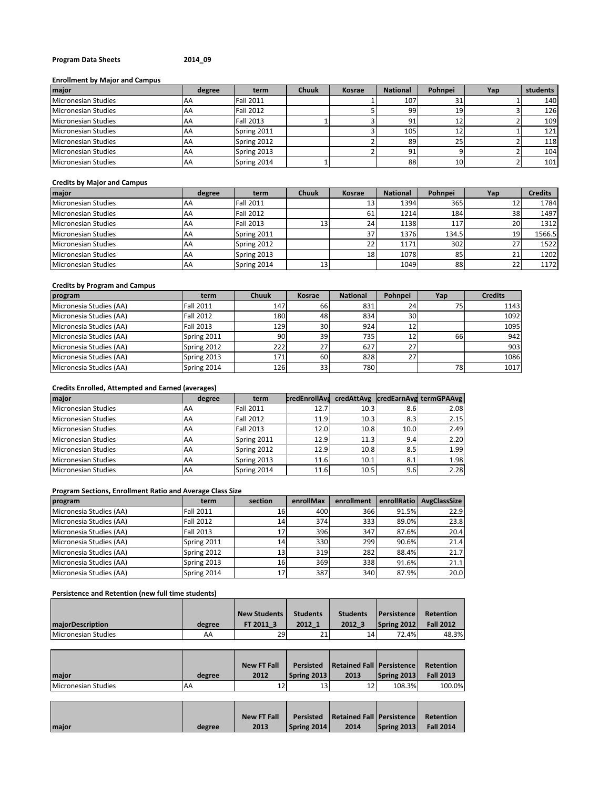## **Program Data Sheets 2014\_09**

## **Enrollment by Major and Campus**

| major               | degree    | term             | <b>Chuuk</b> | Kosrae | <b>National</b> | Pohnpei         | Yap | students |
|---------------------|-----------|------------------|--------------|--------|-----------------|-----------------|-----|----------|
| Micronesian Studies | AA        | <b>Fall 2011</b> |              |        | 107             |                 |     | 140      |
| Micronesian Studies | AA        | <b>Fall 2012</b> |              |        | 99              | 19              |     | 126      |
| Micronesian Studies | <b>AA</b> | <b>Fall 2013</b> |              |        | 91              | 12              |     | 109      |
| Micronesian Studies | AA        | Spring 2011      |              |        | 105             | 12              |     | 121      |
| Micronesian Studies | AA        | Spring 2012      |              |        | 89              | 25              |     | 118      |
| Micronesian Studies | <b>AA</b> | Spring 2013      |              |        | 91              |                 |     | 104      |
| Micronesian Studies | AA        | Spring 2014      |              |        | 88              | 10 <sup>1</sup> |     | 101      |

## **Credits by Major and Campus**

| major               | degree | term             | <b>Chuuk</b> | Kosrae          | <b>National</b> | Pohnpei | Yap | <b>Credits</b> |
|---------------------|--------|------------------|--------------|-----------------|-----------------|---------|-----|----------------|
| Micronesian Studies | AA     | <b>Fall 2011</b> |              | 13              | 1394            | 3651    | 12  | 1784           |
| Micronesian Studies | AA     | <b>Fall 2012</b> |              | 61              | 1214            | 184     | 38  | 1497           |
| Micronesian Studies | AA     | <b>Fall 2013</b> | 13           | 24              | 1138            | 117     | 20  | 1312           |
| Micronesian Studies | AA     | Spring 2011      |              | 37 <sup>1</sup> | 1376            | 134.5   | 19  | 1566.5         |
| Micronesian Studies | AA     | Spring 2012      |              | 22              | 1171            | 302     | 27  | 1522           |
| Micronesian Studies | AA     | Spring 2013      |              | 18              | 1078            | 85      | 21  | 1202           |
| Micronesian Studies | AA     | Spring 2014      | 13           |                 | 1049            | 88      | 22  | 1172           |

# **Credits by Program and Campus**

| program                 | term             | <b>Chuuk</b> | Kosrae | <b>National</b> | Pohnpei | Yap | <b>Credits</b> |
|-------------------------|------------------|--------------|--------|-----------------|---------|-----|----------------|
| Micronesia Studies (AA) | <b>Fall 2011</b> | 147          | 66     | 831             | 24      |     | 1143           |
| Micronesia Studies (AA) | <b>Fall 2012</b> | 180          | 48     | 834             | 30      |     | 1092           |
| Micronesia Studies (AA) | <b>Fall 2013</b> | 1291         | 30     | 924             | 12      |     | 1095           |
| Micronesia Studies (AA) | Spring 2011      | 90           | 39     | 735             | 12      | 66  | 942            |
| Micronesia Studies (AA) | Spring 2012      | 222          | 27     | 627             | 27      |     | 903            |
| Micronesia Studies (AA) | Spring 2013      | 171          | 60     | 828             | 27      |     | 1086           |
| Micronesia Studies (AA) | Spring 2014      | 126          | 33     | 780             |         | 78  | 1017           |

# **Credits Enrolled, Attempted and Earned (averages)**

| major                      | degree    | term             | credEnrollAvs |      |      | credAttAvg  credEarnAvg termGPAAvg |
|----------------------------|-----------|------------------|---------------|------|------|------------------------------------|
| <b>Micronesian Studies</b> | AA        | <b>Fall 2011</b> | 12.7          | 10.3 | 8.6  | 2.08                               |
| <b>Micronesian Studies</b> | AA        | <b>Fall 2012</b> | 11.9          | 10.3 | 8.3  | 2.15                               |
| <b>Micronesian Studies</b> | AA        | Fall 2013        | 12.0          | 10.8 | 10.0 | 2.49                               |
| <b>Micronesian Studies</b> | AA        | Spring 2011      | 12.9          | 11.3 | 9.4  | 2.20                               |
| <b>Micronesian Studies</b> | AA        | Spring 2012      | 12.9          | 10.8 | 8.5  | 1.99                               |
| <b>Micronesian Studies</b> | AA        | Spring 2013      | 11.6          | 10.1 | 8.1  | 1.98                               |
| Micronesian Studies        | <b>AA</b> | Spring 2014      | 11.6          | 10.5 | 9.6  | 2.28                               |

## **Program Sections, Enrollment Ratio and Average Class Size**

| program                 | term             | section         | enrollMax | enrollment | enrollRatio | AvgClassSize |
|-------------------------|------------------|-----------------|-----------|------------|-------------|--------------|
| Micronesia Studies (AA) | <b>Fall 2011</b> | 16              | 400       | 366        | 91.5%       | 22.9         |
| Micronesia Studies (AA) | <b>Fall 2012</b> | 14              | 374       | 333        | 89.0%       | 23.8         |
| Micronesia Studies (AA) | <b>Fall 2013</b> | 17              | 396       | 347        | 87.6%       | 20.4         |
| Micronesia Studies (AA) | Spring 2011      | 14              | 330       | 299        | 90.6%       | 21.4         |
| Micronesia Studies (AA) | Spring 2012      | 13 <sup>1</sup> | 319       | 282        | 88.4%       | 21.7         |
| Micronesia Studies (AA) | Spring 2013      | 16              | 369       | 338        | 91.6%       | 21.1         |
| Micronesia Studies (AA) | Spring 2014      | 17              | 387       | 340        | 87.9%       | 20.0         |

## **Persistence and Retention (new full time students)**

|                            |        | New Students | <b>Students</b> | <b>Students</b> | <b>Persistence</b> | Retention        |
|----------------------------|--------|--------------|-----------------|-----------------|--------------------|------------------|
| <b>majorDescription</b>    | degree | FT 2011 3    | 2012 1          | 2012            | Spring 2012        | <b>Fall 2012</b> |
| <b>Micronesian Studies</b> | AA     | <b>29</b>    | 21              | 14              | 72.4%              | 48.3%            |

|                            |        | <b>New FT Fall</b> |             | Persisted   Retained Fall   Persistence |             | Retention        |
|----------------------------|--------|--------------------|-------------|-----------------------------------------|-------------|------------------|
| maior                      | degree | 2012               | Spring 2013 | 2013                                    | Spring 2013 | <b>Fall 2013</b> |
| <b>Micronesian Studies</b> | AA     |                    | 13          | 12                                      | 108.3%      | 100.0%           |

|       |        | <b>New FT Fall</b> |             | <b>Persisted Retained Fall Persistence Retention</b> |             |                  |
|-------|--------|--------------------|-------------|------------------------------------------------------|-------------|------------------|
| maior | degree | 2013               | Spring 2014 | 2014                                                 | Spring 2013 | <b>Fall 2014</b> |